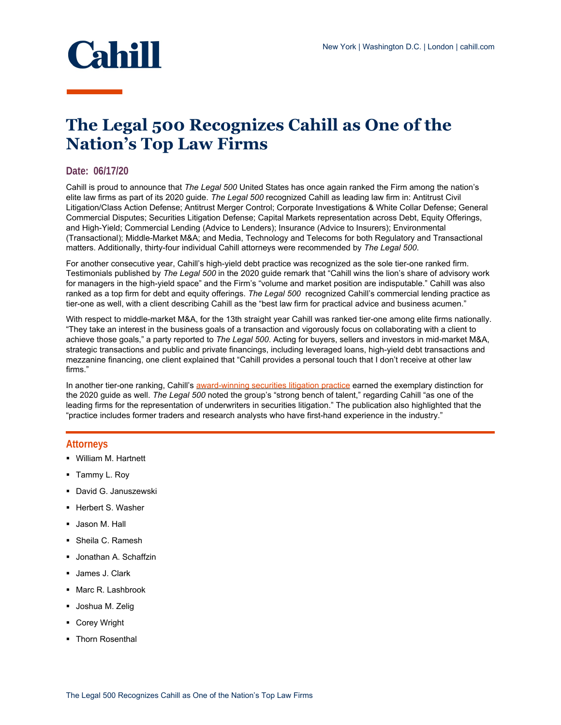

## **The Legal 500 Recognizes Cahill as One of the Nation's Top Law Firms**

## **Date: 06/17/20**

Cahill is proud to announce that *The Legal 500* United States has once again ranked the Firm among the nation's elite law firms as part of its 2020 guide. *The Legal 500* recognized Cahill as leading law firm in: Antitrust Civil Litigation/Class Action Defense; Antitrust Merger Control; Corporate Investigations & White Collar Defense; General Commercial Disputes; Securities Litigation Defense; Capital Markets representation across Debt, Equity Offerings, and High-Yield; Commercial Lending (Advice to Lenders); Insurance (Advice to Insurers); Environmental (Transactional); Middle-Market M&A; and Media, Technology and Telecoms for both Regulatory and Transactional matters. Additionally, thirty-four individual Cahill attorneys were recommended by *The Legal 500*.

For another consecutive year, Cahill's high-yield debt practice was recognized as the sole tier-one ranked firm. Testimonials published by *The Legal 500* in the 2020 guide remark that "Cahill wins the lion's share of advisory work for managers in the high-yield space" and the Firm's "volume and market position are indisputable." Cahill was also ranked as a top firm for debt and equity offerings. *The Legal 500* recognized Cahill's commercial lending practice as tier-one as well, with a client describing Cahill as the "best law firm for practical advice and business acumen."

With respect to middle-market M&A, for the 13th straight year Cahill was ranked tier-one among elite firms nationally. "They take an interest in the business goals of a transaction and vigorously focus on collaborating with a client to achieve those goals," a party reported to *The Legal 500*. Acting for buyers, sellers and investors in mid-market M&A, strategic transactions and public and private financings, including leveraged loans, high-yield debt transactions and mezzanine financing, one client explained that "Cahill provides a personal touch that I don't receive at other law firms."

In another tier-one ranking, Cahill's [award-winning securities litigation practice](https://www.cahill.com/news/rankings/2020-01-14-cahill-securities-litigation-practice-profiled-as-a-2019-law360-practice-group-of-the-year) earned the exemplary distinction for the 2020 guide as well. *The Legal 500* noted the group's "strong bench of talent," regarding Cahill "as one of the leading firms for the representation of underwriters in securities litigation." The publication also highlighted that the "practice includes former traders and research analysts who have first-hand experience in the industry."

## **Attorneys**

- William M. Hartnett
- Tammy L. Roy
- **David G. Januszewski**
- Herbert S. Washer
- Jason M. Hall
- Sheila C. Ramesh
- Jonathan A. Schaffzin
- **James J. Clark**
- Marc R. Lashbrook
- **Joshua M. Zelig**
- Corey Wright
- Thorn Rosenthal